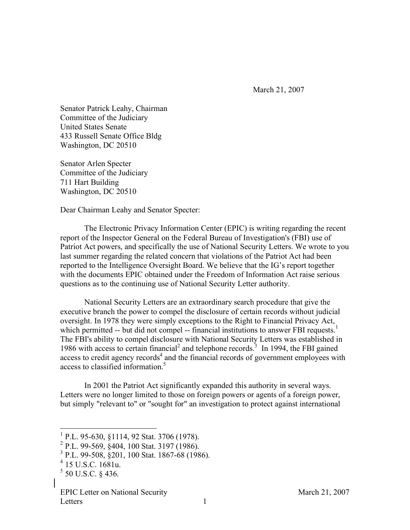March 21, 2007

Senator Patrick Leahy, Chairman Committee of the Judiciary United States Senate 433 Russell Senate Office Bldg Washington, DC 20510

Senator Arlen Specter Committee of the Judiciary 711 Hart Building Washington, DC 20510

Dear Chairman Leahy and Senator Specter:

The Electronic Privacy Information Center (EPIC) is writing regarding the recent report of the Inspector General on the Federal Bureau of Investigation's (FBI) use of Patriot Act powers, and specifically the use of National Security Letters. We wrote to you last summer regarding the related concern that violations of the Patriot Act had been reported to the Intelligence Oversight Board. We believe that the IG's report together with the documents EPIC obtained under the Freedom of Information Act raise serious questions as to the continuing use of National Security Letter authority.

National Security Letters are an extraordinary search procedure that give the executive branch the power to compel the disclosure of certain records without judicial oversight. In 1978 they were simply exceptions to the Right to Financial Privacy Act, which permitted -- but did not compel -- financial institutions to answer FBI requests.<sup>1</sup> The FBI's ability to compel disclosure with National Security Letters was established in 1986 with access to certain financial<sup>2</sup> and telephone records.<sup>3</sup> In 1994, the FBI gained access to credit agency records<sup>4</sup> and the financial records of government employees with access to classified information. 5

In 2001 the Patriot Act significantly expanded this authority in several ways. Letters were no longer limited to those on foreign powers or agents of a foreign power, but simply "relevant to" or "sought for" an investigation to protect against international

<sup>&</sup>lt;sup>1</sup> P.L. 95-630, §1114, 92 Stat. 3706 (1978).<br><sup>2</sup> P.L. 99-569, §404, 100 Stat. 3197 (1986).<br><sup>3</sup> P.L. 99-508, §201, 100 Stat. 1867-68 (1986).<br><sup>4</sup> 15 U.S.C. 1681u.

 $5$  50 U.S.C. § 436.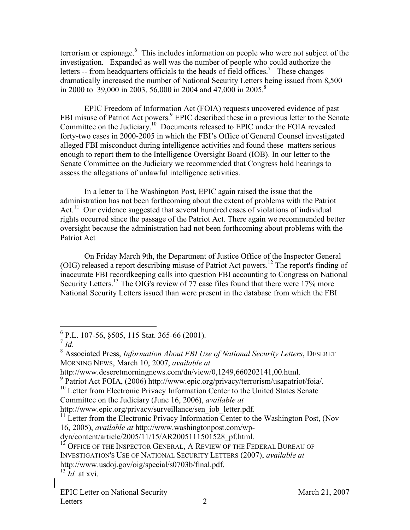terrorism or espionage. <sup>6</sup> This includes information on people who were not subject of the investigation. Expanded as well was the number of people who could authorize the letters -- from headquarters officials to the heads of field offices.<sup>7</sup> These changes dramatically increased the number of National Security Letters being issued from 8,500 in 2000 to 39,000 in 2003, 56,000 in 2004 and 47,000 in 2005.<sup>8</sup>

EPIC Freedom of Information Act (FOIA) requests uncovered evidence of past FBI misuse of Patriot Act powers.<sup>9</sup> EPIC described these in a previous letter to the Senate Committee on the Judiciary.<sup>10</sup> Documents released to EPIC under the FOIA revealed forty-two cases in 2000-2005 in which the FBI's Office of General Counsel investigated alleged FBI misconduct during intelligence activities and found these matters serious enough to report them to the Intelligence Oversight Board (IOB). In our letter to the Senate Committee on the Judiciary we recommended that Congress hold hearings to assess the allegations of unlawful intelligence activities.

In a letter to The Washington Post, EPIC again raised the issue that the administration has not been forthcoming about the extent of problems with the Patriot Act.<sup>11</sup> Our evidence suggested that several hundred cases of violations of individual rights occurred since the passage of the Patriot Act. There again we recommended better oversight because the administration had not been forthcoming about problems with the Patriot Act

On Friday March 9th, the Department of Justice Office of the Inspector General (OIG) released a report describing misuse of Patriot Act powers. <sup>12</sup> The report's finding of inaccurate FBI recordkeeping calls into question FBI accounting to Congress on National Security Letters.<sup>13</sup> The OIG's review of 77 case files found that there were 17% more National Security Letters issued than were present in the database from which the FBI

<sup>6</sup> P.L. 107-56, §505, <sup>115</sup> Stat. 365-66 (2001). <sup>7</sup> *Id*. <sup>8</sup> Associated Press, *Information About FBI Use of National Security Letters*, DESERET MORNING NEWS, March 10, 2007, *available at*

http://www.deseretmorningnews.com/dn/view/0,1249,660202141,00.html.<br>
<sup>9</sup> Patriot Act FOIA, (2006) http://www.epic.org/privacy/terrorism/usapatriot/foia/.<br>
<sup>10</sup> Letter from Electronic Privacy Information Center to the Unite

Committee on the Judiciary (June 16, 2006), *available at*

 $11$  Letter from the Electronic Privacy Information Center to the Washington Post, (Nov 16, 2005), *available at* http://www.washingtonpost.com/wp-

dyn/content/article/2005/11/15/AR2005111501528\_pf.html.<br><sup>12</sup> OFFICE OF THE INSPECTOR GENERAL, A REVIEW OF THE FEDERAL BUREAU OF INVESTIGATION'S USE OF NATIONAL SECURITY LETTERS (2007), *available at* http://www.usdoj.gov/oig/special/s0703b/final.pdf. <sup>13</sup> *Id.* at xvi.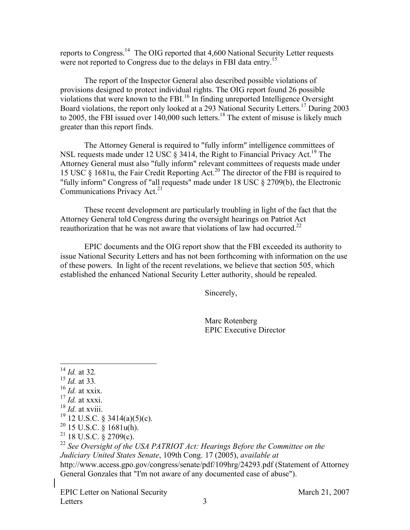reports to Congress.<sup>14</sup> The OIG reported that 4,600 National Security Letter requests were not reported to Congress due to the delays in FBI data entry.<sup>15</sup>

The report of the Inspector General also described possible violations of provisions designed to protect individual rights. The OIG report found 26 possible violations that were known to the FBI. <sup>16</sup> In finding unreported Intelligence Oversight Board violations, the report only looked at a 293 National Security Letters. <sup>17</sup> During 2003 to 2005, the FBI issued over  $140,000$  such letters.<sup>18</sup> The extent of misuse is likely much greater than this report finds.

The Attorney General is required to "fully inform" intelligence committees of NSL requests made under 12 USC  $\S$  3414, the Right to Financial Privacy Act.<sup>19</sup> The Attorney General must also "fully inform" relevant committees of requests made under 15 USC § 1681u, the Fair Credit Reporting Act. <sup>20</sup> The director of the FBI is required to "fully inform" Congress of "all requests" made under 18 USC § 2709(b), the Electronic Communications Privacy Act.<sup>21</sup>

These recent development are particularly troubling in light of the fact that the Attorney General told Congress during the oversight hearings on Patriot Act reauthorization that he was not aware that violations of law had occurred.<sup>22</sup>

EPIC documents and the OIG report show that the FBI exceeded its authority to issue National Security Letters and has not been forthcoming with information on the use of these powers. In light of the recent revelations, we believe that section 505, which established the enhanced National Security Letter authority, should be repealed.

Sincerely,

Marc Rotenberg EPIC Executive Director

- 
- 
- 
- 
- 
- 
- 

<sup>14</sup> *Id.* at 32.<br><sup>15</sup> *Id.* at 33.<br><sup>16</sup> *Id.* at xxix.<br><sup>17</sup> *Id.* at xxxi.<br><sup>18</sup> 12 U.S.C. § 3414(a)(5)(c).<br><sup>20</sup> 15 U.S.C. § 1681u(h).<br><sup>21</sup> 18 U.S.C. § 2709(c).<br><sup>22</sup> See Oversight of the USA PATRIOT Act: Hearings Before t *Judiciary United States Senate*, 109th Cong. 17 (2005), *available at* http://www.access.gpo.gov/congress/senate/pdf/109hrg/24293.pdf (Statement of Attorney General Gonzales that "I'm not aware of any documented case of abuse").